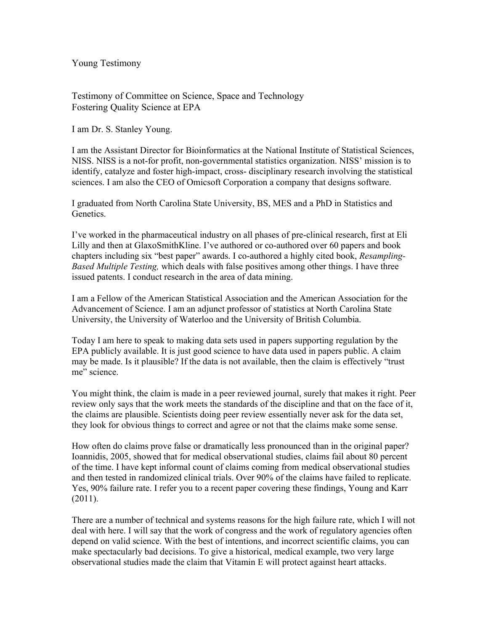Young Testimony

Testimony of Committee on Science, Space and Technology Fostering Quality Science at EPA

I am Dr. S. Stanley Young.

I am the Assistant Director for Bioinformatics at the National Institute of Statistical Sciences, NISS. NISS is a not-for profit, non-governmental statistics organization. NISS' mission is to identify, catalyze and foster high-impact, cross- disciplinary research involving the statistical sciences. I am also the CEO of Omicsoft Corporation a company that designs software.

I graduated from North Carolina State University, BS, MES and a PhD in Statistics and Genetics.

I've worked in the pharmaceutical industry on all phases of pre-clinical research, first at Eli Lilly and then at GlaxoSmithKline. I've authored or co-authored over 60 papers and book chapters including six "best paper" awards. I co-authored a highly cited book, *Resampling-Based Multiple Testing,* which deals with false positives among other things. I have three issued patents. I conduct research in the area of data mining.

I am a Fellow of the American Statistical Association and the American Association for the Advancement of Science. I am an adjunct professor of statistics at North Carolina State University, the University of Waterloo and the University of British Columbia.

Today I am here to speak to making data sets used in papers supporting regulation by the EPA publicly available. It is just good science to have data used in papers public. A claim may be made. Is it plausible? If the data is not available, then the claim is effectively "trust me" science.

You might think, the claim is made in a peer reviewed journal, surely that makes it right. Peer review only says that the work meets the standards of the discipline and that on the face of it, the claims are plausible. Scientists doing peer review essentially never ask for the data set, they look for obvious things to correct and agree or not that the claims make some sense.

How often do claims prove false or dramatically less pronounced than in the original paper? Ioannidis, 2005, showed that for medical observational studies, claims fail about 80 percent of the time. I have kept informal count of claims coming from medical observational studies and then tested in randomized clinical trials. Over 90% of the claims have failed to replicate. Yes, 90% failure rate. I refer you to a recent paper covering these findings, Young and Karr (2011).

There are a number of technical and systems reasons for the high failure rate, which I will not deal with here. I will say that the work of congress and the work of regulatory agencies often depend on valid science. With the best of intentions, and incorrect scientific claims, you can make spectacularly bad decisions. To give a historical, medical example, two very large observational studies made the claim that Vitamin E will protect against heart attacks.